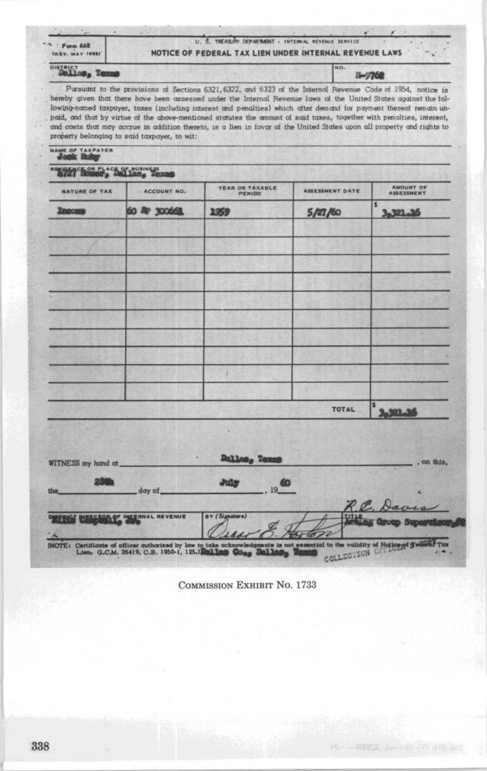| <b>Form 668</b><br>IREV, MAY 1988) | U. S. TREASURY DEPARTMENT - INTERNAL REVENUE SERVICE<br>NOTICE OF FEDERAL TAX LIEN UNDER INTERNAL REVENUE LAWS                                                                                                                                                                                                                                                                                                                                                           |                |
|------------------------------------|--------------------------------------------------------------------------------------------------------------------------------------------------------------------------------------------------------------------------------------------------------------------------------------------------------------------------------------------------------------------------------------------------------------------------------------------------------------------------|----------------|
| Dallas, Texas                      |                                                                                                                                                                                                                                                                                                                                                                                                                                                                          | INO.<br>H-9762 |
|                                    | Pursudnt to the provisions of Sections 6321, 6322, and 6323 of the Internal Revenue Code of 1954, notice is<br>iereby given that there have been assessed under the Internal Revenue laws of the United States against the fol<br>lowing-named taxpayer, taxes (including interest and penalties) which after demand for payment thereof remain un<br>and and that by virtue of the above-mentioned statutes the amount of said taxes, together with negoties, interest, |                |

and costs that may accrue in addition thereto, is a lien in favor of the United States upon all property and rights to property belonging to said taxpayer, to wit: NAME OF TAXPAYER

| __ |   |                   |  |
|----|---|-------------------|--|
|    |   |                   |  |
|    | w | <b>CONTRACTOR</b> |  |

RESIDENCE OR PLACE OF BUSINESS

| <b>NATURE OF TAX</b> | <b>ACCOUNT NO.</b> | YEAR OR TAXABLE<br>PERIOD | ASSESSMENT DATE | AMOUNT OF<br><b>ASSESSMENT</b> |
|----------------------|--------------------|---------------------------|-----------------|--------------------------------|
| Incomp               | 60 & 300662        | 1959                      | 5/27/60         | s<br>3,321.36                  |
|                      |                    |                           |                 |                                |
|                      |                    |                           |                 |                                |
|                      |                    |                           |                 |                                |
|                      |                    |                           |                 |                                |
|                      |                    |                           |                 |                                |
|                      |                    |                           |                 |                                |
|                      |                    |                           |                 |                                |
|                      |                    |                           | TOTAL           | 3.391.16                       |

| RO Haven                                                                                                                                                                                                                                         |
|--------------------------------------------------------------------------------------------------------------------------------------------------------------------------------------------------------------------------------------------------|
|                                                                                                                                                                                                                                                  |
| BY (Signature)<br>Certificate of officer subcrized by low to take acknowledgements is not ensemble to the validity of Notice-pf 3-3081 row Lien. G.C.M. 26419, C.B. 1950-1, 125.10 and Co <sub>og</sub> Dallas, Coog (COLLECTION COMPTIBILITY OF |

COMMISSION EXHIBIT No. 1733